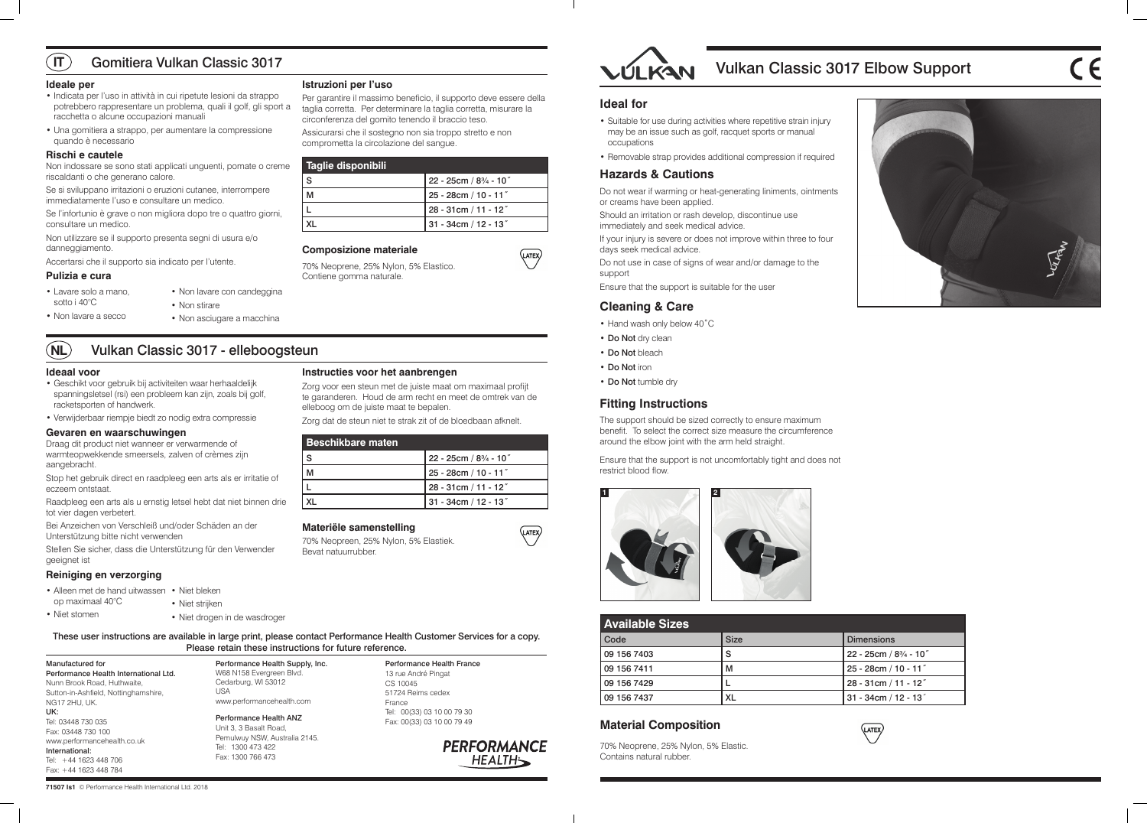# Vulkan Classic 3017 Elbow Support





| <b>Available Sizes</b> |             |             |                                     |
|------------------------|-------------|-------------|-------------------------------------|
|                        | Code        | <b>Size</b> | <b>Dimensions</b>                   |
|                        | 09 156 7403 | S           | 22 - 25cm / 83/4 - 10"              |
|                        | 09 156 7411 | м           | 25 - 28cm / 10 - 11"                |
|                        | 09 156 7429 |             | $28 - 31$ cm / 11 - 12 <sup>"</sup> |
|                        | 09 156 7437 | XL          | 31 - 34cm / 12 - 13 $"$             |

# **Material Composition**

70% Neoprene, 25% Nylon, 5% Elastic. Contains natural rubber.

#### **Ideal for**

- Suitable for use during activities where repetitive strain injury may be an issue such as golf, racquet sports or manual occupations
- Removable strap provides additional compression if required

### **Hazards & Cautions**

Do not wear if warming or heat-generating liniments, ointments or creams have been applied.

Should an irritation or rash develop, discontinue use immediately and seek medical advice.

If your injury is severe or does not improve within three to four days seek medical advice.

Do not use in case of signs of wear and/or damage to the support

Ensure that the support is suitable for the user

### **Cleaning & Care**

- Hand wash only below 40˚C
- Do Not dry clean
- Do Not bleach

(LATEX)

(LATEX)

- Do Not iron
- Do Not tumble dry

### **Fitting Instructions**

The support should be sized correctly to ensure maximum benefit. To select the correct size measure the circumference around the elbow joint with the arm held straight.

Ensure that the support is not uncomfortably tight and does not restrict blood flow.



**71507 Is1** © Performance Health International Ltd. 2018

These user instructions are available in large print, please contact Performance Health Customer Services for a copy. Please retain these instructions for future reference.

Manufactured for Performance Health International Ltd. Nunn Brook Road, Huthwaite, Sutton-in-Ashfield, Nottinghamshire, NG17 2HU, UK. UK: Tel: 03448 730 035 Fax: 03448 730 100 www.performancehealth.co.uk International: Tel: +44 1623 448 706 Fax: +44 1623 448 784

Performance Health Supply, Inc. W68 N158 Evergreen Blvd. Cedarburg, WI 53012 USA www.performancehealth.com Performance Health ANZ

Unit 3, 3 Basalt Road, Pemulwuy NSW, Australia 2145. Tel: 1300 473 422 Fax: 1300 766 473

Performance Health France 13 rue André Pingat CS 10045 51724 Reims cedex France Tel: 00(33) 03 10 00 79 30 Fax: 00(33) 03 10 00 79 49

> **PERFORMANCE HEALTH**

at om maximaal profijt meet de omtrek van de elleboog om de juiste maat te bepalen.

#### **Ideale per**

#### $\sqrt{11}$ Gomitiera Vulkan Classic 3017

- Indicata per l'uso in attività in cui ripetute lesioni da strappo potrebbero rappresentare un problema, quali il golf, gli sport a racchetta o alcune occupazioni manuali
- Una gomitiera a strappo, per aumentare la compressione quando è necessario

- Alleen met de hand uitwassen Niet bleken op maximaal 40°C
	- Niet strijken
	- - Niet drogen in de wasdroger

#### **Rischi e cautele**

Non indossare se sono stati applicati unguenti, pomate o creme riscaldanti o che generano calore.

Se si sviluppano irritazioni o eruzioni cutanee, interrompere immediatamente l'uso e consultare un medico.

Se l'infortunio è grave o non migliora dopo tre o quattro giorni, consultare un medico.

Non utilizzare se il supporto presenta segni di usura e/o danneggiamento.

Accertarsi che il supporto sia indicato per l'utente.

#### **Pulizia e cura**

# **Istruzioni per l'uso**

Per garantire il massimo beneficio, il supporto deve essere della taglia corretta. Per determinare la taglia corretta, misurare la circonferenza del gomito tenendo il braccio teso.

Assicurarsi che il sostegno non sia troppo stretto e non comprometta la circolazione del sangue.

| Taglie disponibili |                                      |
|--------------------|--------------------------------------|
| <b>S</b>           | $22 - 25$ cm $/ 8\frac{3}{4} - 10''$ |
| M                  | $25 - 28cm / 10 - 11''$              |
|                    | $28 - 31$ cm / 11 - 12"              |
|                    | 31 - 34cm / 12 - 13″                 |

#### **Composizione materiale**

70% Neoprene, 25% Nylon, 5% Elastico. Contiene gomma naturale.

#### **NL** Vulkan Classic 3017 - elleboogsteun

#### **Ideaal voor**

- Geschikt voor gebruik bij activiteiten waar herhaaldelijk spanningsletsel (rsi) een probleem kan zijn, zoals bij golf, racketsporten of handwerk.
- Verwijderbaar riempje biedt zo nodig extra compressie

#### **Gevaren en waarschuwingen**

Draag dit product niet wanneer er verwarmende of warmteopwekkende smeersels, zalven of crèmes zijn aangebracht.

Stop het gebruik direct en raadpleeg een arts als er irritatie of eczeem ontstaat.

Raadpleeg een arts als u ernstig letsel hebt dat niet binnen drie tot vier dagen verbetert.

Bei Anzeichen von Verschleiß und/oder Schäden an der Unterstützung bitte nicht verwenden

Stellen Sie sicher, dass die Unterstützung für den Verwender geeignet ist

#### **Reiniging en verzorging**

| - ت |                                                             |
|-----|-------------------------------------------------------------|
|     | Instructies voor het aanbrengen                             |
|     | Zorg voor een steun met de juiste maat o                    |
|     | te garanderen. Houd de arm recht en me                      |
|     | المتملح متمامل مطلوم ممتن مقمئن بئاملها ممتما بمصام والمللم |

Zorg dat de steun niet te strak zit of de bloedbaan afknelt.

| <b>Beschikbare maten</b> |                          |
|--------------------------|--------------------------|
| S                        | $22 - 25cm / 83/4 - 107$ |
|                          | 25 - 28cm / 10 - 11"     |
|                          | 28 - 31cm / 11 - 12"     |
|                          | 31 - 34cm / 12 - 13"     |

#### **Materiële samenstelling**

70% Neopreen, 25% Nylon, 5% Elastiek. Bevat natuurrubber.



• Lavare solo a mano, sotto i 40°C

• Non lavare a secco

• Non lavare con candeggina

• Non stirare

• Non asciugare a macchina

• Niet stomen